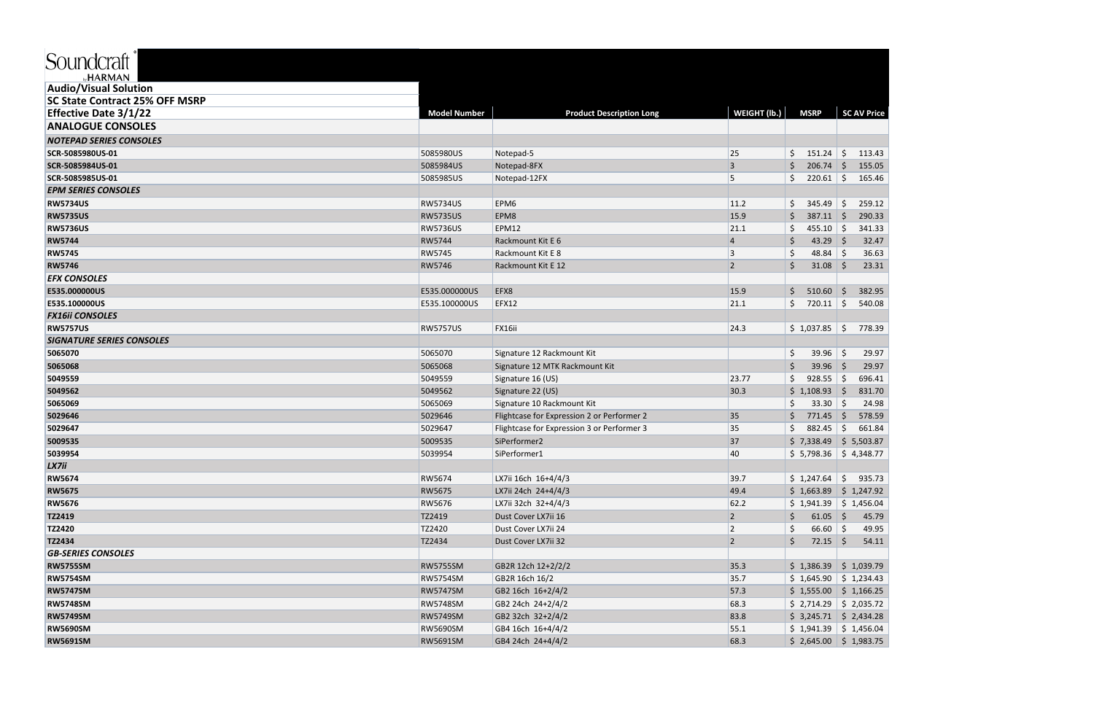## **SKU**

| <sub>⊳∕</sub> HARMAN                  |                     |                                            |                     |                         |                         |
|---------------------------------------|---------------------|--------------------------------------------|---------------------|-------------------------|-------------------------|
| <b>Audio/Visual Solution</b>          |                     |                                            |                     |                         |                         |
| <b>SC State Contract 25% OFF MSRP</b> |                     |                                            |                     |                         |                         |
| <b>Effective Date 3/1/22</b>          | <b>Model Number</b> | <b>Product Description Long</b>            | <b>WEIGHT (Ib.)</b> | <b>MSRP</b>             | <b>SC AV Price</b>      |
| <b>ANALOGUE CONSOLES</b>              |                     |                                            |                     |                         |                         |
| <b>NOTEPAD SERIES CONSOLES</b>        |                     |                                            |                     |                         |                         |
| SCR-5085980US-01                      | 5085980US           | Notepad-5                                  | 25                  | \$.<br>151.24           | \$<br>113.43            |
| SCR-5085984US-01                      | 5085984US           | Notepad-8FX                                | 3                   | Ŝ.<br>$206.74$ \$       | 155.05                  |
| SCR-5085985US-01                      | 5085985US           | Notepad-12FX                               | 5                   | Ś.<br>220.61            | \$<br>165.46            |
| <b>EPM SERIES CONSOLES</b>            |                     |                                            |                     |                         |                         |
| <b>RW5734US</b>                       | <b>RW5734US</b>     | EPM6                                       | 11.2                | \$<br>345.49            | 259.12<br>Ŝ.            |
| <b>RW5735US</b>                       | <b>RW5735US</b>     | EPM8                                       | 15.9                | Ś.<br>$387.11$ \$       | 290.33                  |
| <b>RW5736US</b>                       | <b>RW5736US</b>     | <b>EPM12</b>                               | 21.1                | \$<br>455.10 $\vert$ \$ | 341.33                  |
| <b>RW5744</b>                         | <b>RW5744</b>       | Rackmount Kit E 6                          | 4                   | 43.29 \$<br>\$          | 32.47                   |
| <b>RW5745</b>                         | RW5745              | Rackmount Kit E 8                          | 3                   | Ś<br>48.84              | $\vert$ \$<br>36.63     |
| <b>RW5746</b>                         | <b>RW5746</b>       | Rackmount Kit E 12                         | $\overline{2}$      | \$<br>$31.08$ \$        | 23.31                   |
| <b>EFX CONSOLES</b>                   |                     |                                            |                     |                         |                         |
| E535.000000US                         | E535.000000US       | EFX8                                       | 15.9                | \$<br>510.60            | 382.95                  |
| E535.100000US                         | E535.100000US       | EFX12                                      | 21.1                | \$<br>720.11            | 540.08<br>$\vert$ \$    |
| <b>FX16ii CONSOLES</b>                |                     |                                            |                     |                         |                         |
| <b>RW5757US</b>                       | <b>RW5757US</b>     | FX16ii                                     | 24.3                | \$1,037.85              | 778.39<br>S.            |
| <b>SIGNATURE SERIES CONSOLES</b>      |                     |                                            |                     |                         |                         |
| 5065070                               | 5065070             | Signature 12 Rackmount Kit                 |                     | \$<br>39.96             | \$<br>29.97             |
| 5065068                               | 5065068             | Signature 12 MTK Rackmount Kit             |                     | \$<br>39.96             | 29.97<br>-Ś             |
| 5049559                               | 5049559             | Signature 16 (US)                          | 23.77               | \$<br>$928.55$ \$       | 696.41                  |
| 5049562                               | 5049562             | Signature 22 (US)                          | 30.3                | \$1,108.93              | 831.70                  |
| 5065069                               | 5065069             | Signature 10 Rackmount Kit                 |                     | Ś<br>$33.30 \mid 5$     | 24.98                   |
| 5029646                               | 5029646             | Flightcase for Expression 2 or Performer 2 | 35                  | $771.45$ \$<br>\$       | 578.59                  |
| 5029647                               | 5029647             | Flightcase for Expression 3 or Performer 3 | 35                  | \$<br>882.45            | 661.84<br>-\$           |
| 5009535                               | 5009535             | SiPerformer2                               | 37                  | \$7,338.49              | \$5,503.87              |
| 5039954                               | 5039954             | SiPerformer1                               | 40                  |                         | $$5,798.36$ $$4,348.77$ |
| LX7ii                                 |                     |                                            |                     |                         |                         |
| <b>RW5674</b>                         | RW5674              | LX7ii 16ch 16+4/4/3                        | 39.7                | $$1,247.64$ \$          | 935.73                  |
| <b>RW5675</b>                         | <b>RW5675</b>       | LX7ii 24ch 24+4/4/3                        | 49.4                |                         | $$1,663.89$ $$1,247.92$ |
| <b>RW5676</b>                         | <b>RW5676</b>       | LX7ii 32ch 32+4/4/3                        | 62.2                |                         | $$1,941.39$ $$1,456.04$ |
| TZ2419                                | TZ2419              | Dust Cover LX7ii 16                        | $\overline{2}$      | \$<br>$61.05$ \$        | 45.79                   |
| TZ2420                                | TZ2420              | Dust Cover LX7ii 24                        | $\mathbf 2$         | \$<br>$66.60$ \$        | 49.95                   |
| TZ2434                                | TZ2434              | Dust Cover LX7ii 32                        | $\overline{2}$      | \$<br>$72.15$ \$        | 54.11                   |
| <b>GB-SERIES CONSOLES</b>             |                     |                                            |                     |                         |                         |
| <b>RW5755SM</b>                       | <b>RW5755SM</b>     | GB2R 12ch 12+2/2/2                         | 35.3                |                         | $$1,386.39$ $$1,039.79$ |
| <b>RW5754SM</b>                       | RW5754SM            | GB2R 16ch 16/2                             | 35.7                |                         | $$1,645.90$ $$1,234.43$ |
| <b>RW5747SM</b>                       | <b>RW5747SM</b>     | GB2 16ch 16+2/4/2                          | 57.3                |                         | $$1,555.00$ $$1,166.25$ |
| <b>RW5748SM</b>                       | <b>RW5748SM</b>     | GB2 24ch 24+2/4/2                          | 68.3                |                         | $$2,714.29$ $$2,035.72$ |
| <b>RW5749SM</b>                       | <b>RW5749SM</b>     | GB2 32ch 32+2/4/2                          | 83.8                |                         | $$3,245.71$ $$2,434.28$ |
| <b>RW5690SM</b>                       | <b>RW5690SM</b>     | GB4 16ch 16+4/4/2                          | 55.1                |                         | $$1,941.39$ $$1,456.04$ |
| <b>RW5691SM</b>                       | <b>RW5691SM</b>     | GB4 24ch 24+4/4/2                          | 68.3                |                         | $$2,645.00$ $$1,983.75$ |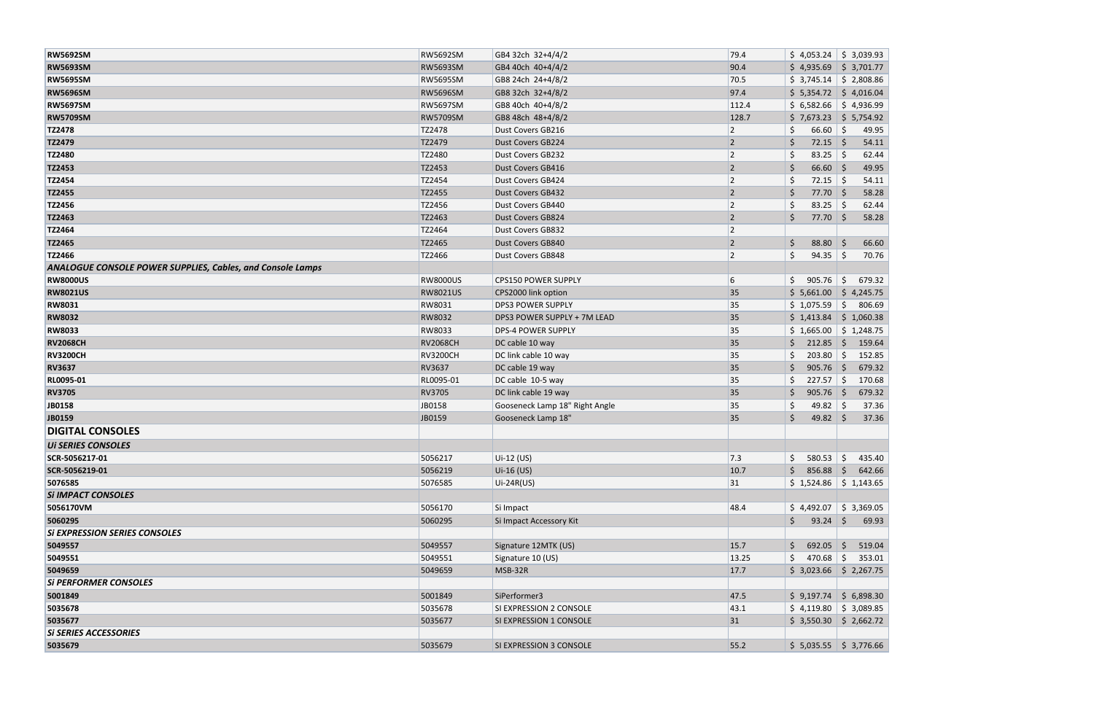| <b>RW5692SM</b>                                                   | RW5692SM        | GB4 32ch 32+4/4/2              | 79.4           | \$4,053.24              | $\frac{1}{2}$ \$ 3,039.93 |
|-------------------------------------------------------------------|-----------------|--------------------------------|----------------|-------------------------|---------------------------|
| <b>RW5693SM</b>                                                   | RW5693SM        | GB4 40ch 40+4/4/2              | 90.4           | \$4,935.69              | $\frac{1}{2}$ 3,701.77    |
| <b>RW5695SM</b>                                                   | RW5695SM        | GB8 24ch 24+4/8/2              | 70.5           | $$3,745.14$ $$2,808.86$ |                           |
| <b>RW5696SM</b>                                                   | <b>RW5696SM</b> | GB8 32ch 32+4/8/2              | 97.4           | $$5,354.72$ $$4,016.04$ |                           |
| <b>RW5697SM</b>                                                   | RW5697SM        | GB8 40ch 40+4/8/2              | 112.4          | \$6,582.66              | $\frac{1}{2}$ \$ 4,936.99 |
| <b>RW5709SM</b>                                                   | RW5709SM        | GB8 48ch 48+4/8/2              | 128.7          | $$7,673.23$ $$5,754.92$ |                           |
| TZ2478                                                            | TZ2478          | Dust Covers GB216              |                | 66.60<br>\$             | \$<br>49.95               |
| TZ2479                                                            | TZ2479          | Dust Covers GB224              | $\overline{2}$ | $72.15$ \$<br>\$        | 54.11                     |
| TZ2480                                                            | TZ2480          | <b>Dust Covers GB232</b>       | $\overline{2}$ | $83.25$ \$<br>Ŝ.        | 62.44                     |
|                                                                   |                 |                                | $\overline{2}$ |                         |                           |
| TZ2453                                                            | TZ2453          | Dust Covers GB416              |                | $66.60$ \$<br>\$        | 49.95                     |
| TZ2454                                                            | TZ2454          | Dust Covers GB424              | $\overline{2}$ | Ś.<br>$72.15$ \$        | 54.11                     |
| TZ2455                                                            | TZ2455          | Dust Covers GB432              | $\overline{2}$ | $77.70$ \$<br>Ŝ         | 58.28                     |
| TZ2456                                                            | TZ2456          | Dust Covers GB440              | $\overline{2}$ | 83.25                   | $\vert$ \$<br>62.44       |
| TZ2463                                                            | TZ2463          | Dust Covers GB824              | $\overline{2}$ | $77.70$ \$<br>\$        | 58.28                     |
| TZ2464                                                            | TZ2464          | Dust Covers GB832              | $\overline{2}$ |                         |                           |
| TZ2465                                                            | TZ2465          | Dust Covers GB840              | $\overline{2}$ | $\zeta$<br>$88.80$ \$   | 66.60                     |
| TZ2466                                                            | TZ2466          | Dust Covers GB848              | $\overline{2}$ | \$<br>$94.35$ \$        | 70.76                     |
| <b>ANALOGUE CONSOLE POWER SUPPLIES, Cables, and Console Lamps</b> |                 |                                |                |                         |                           |
| <b>RW8000US</b>                                                   | <b>RW8000US</b> | CPS150 POWER SUPPLY            | 6              | \$<br>905.76            | 679.32<br>-\$             |
| <b>RW8021US</b>                                                   | <b>RW8021US</b> | CPS2000 link option            | 35             | \$5,661.00              | $\frac{1}{2}$ \$ 4,245.75 |
| <b>RW8031</b>                                                     | RW8031          | <b>DPS3 POWER SUPPLY</b>       | 35             | \$1,075.59              | $\zeta$<br>806.69         |
| <b>RW8032</b>                                                     | RW8032          | DPS3 POWER SUPPLY + 7M LEAD    | 35             | $$1,413.84$ $$1,060.38$ |                           |
| <b>RW8033</b>                                                     | RW8033          | <b>DPS-4 POWER SUPPLY</b>      | 35             | \$1,665.00              | $\frac{1}{2}$ \$ 1,248.75 |
| <b>RV2068CH</b>                                                   | <b>RV2068CH</b> | DC cable 10 way                | 35             | $212.85$ \$<br>S.       | 159.64                    |
| <b>RV3200CH</b>                                                   | <b>RV3200CH</b> | DC link cable 10 way           | 35             | 203.80<br>Ś             | 152.85<br>∣\$             |
| <b>RV3637</b>                                                     | RV3637          | DC cable 19 way                | 35             | $905.76$ \$<br>S        | 679.32                    |
| RL0095-01                                                         | RL0095-01       | DC cable 10-5 way              | 35             | 227.57                  | $\vert$ \$<br>170.68      |
| <b>RV3705</b>                                                     | RV3705          | DC link cable 19 way           | 35             | $905.76$ \$<br>\$       | 679.32                    |
| JB0158                                                            | JB0158          | Gooseneck Lamp 18" Right Angle | 35             | Ś.<br>49.82 $\vert$ \$  | 37.36                     |
| JB0159                                                            | JB0159          | Gooseneck Lamp 18"             | 35             | \$<br>$49.82$ \$        | 37.36                     |
| <b>DIGITAL CONSOLES</b>                                           |                 |                                |                |                         |                           |
| <b>UI SERIES CONSOLES</b>                                         |                 |                                |                |                         |                           |
| SCR-5056217-01                                                    | 5056217         | Ui-12 (US)                     | 7.3            | \$.<br>$580.53$ \$      | 435.40                    |
| SCR-5056219-01                                                    | 5056219         | Ui-16 (US)                     | 10.7           | S.<br>856.88            | Ŝ.<br>642.66              |
| 5076585                                                           | 5076585         |                                | 31             | \$1,524.86              | $\frac{1}{2}$ \$ 1,143.65 |
| <b>Si IMPACT CONSOLES</b>                                         |                 | Ui-24R(US)                     |                |                         |                           |
|                                                                   |                 |                                |                |                         |                           |
| 5056170VM                                                         | 5056170         | Si Impact                      | 48.4           | \$4,492.07              | $\frac{1}{2}$ \$ 3,369.05 |
| 5060295                                                           | 5060295         | Si Impact Accessory Kit        |                | \$<br>$93.24$ \$        | 69.93                     |
| <b>Si EXPRESSION SERIES CONSOLES</b>                              |                 |                                |                |                         |                           |
| 5049557                                                           | 5049557         | Signature 12MTK (US)           | 15.7           | \$<br>692.05            | 519.04<br>$\vert$ \$      |
| 5049551                                                           | 5049551         | Signature 10 (US)              | 13.25          | Ŝ.<br>470.68 \$         | 353.01                    |
| 5049659                                                           | 5049659         | MSB-32R                        | 17.7           | $$3,023.66$ $$2,267.75$ |                           |
| <b>Si PERFORMER CONSOLES</b>                                      |                 |                                |                |                         |                           |
| 5001849                                                           | 5001849         | SiPerformer3                   | 47.5           | \$9,197.74 \$6,898.30   |                           |
| 5035678                                                           | 5035678         | SI EXPRESSION 2 CONSOLE        | 43.1           | $$4,119.80$ $$3,089.85$ |                           |
| 5035677                                                           | 5035677         | SI EXPRESSION 1 CONSOLE        | 31             | $$3,550.30$ $$2,662.72$ |                           |
| <b>Si SERIES ACCESSORIES</b>                                      |                 |                                |                |                         |                           |
| 5035679                                                           | 5035679         | SI EXPRESSION 3 CONSOLE        | 55.2           | $$5,035.55$ $$3,776.66$ |                           |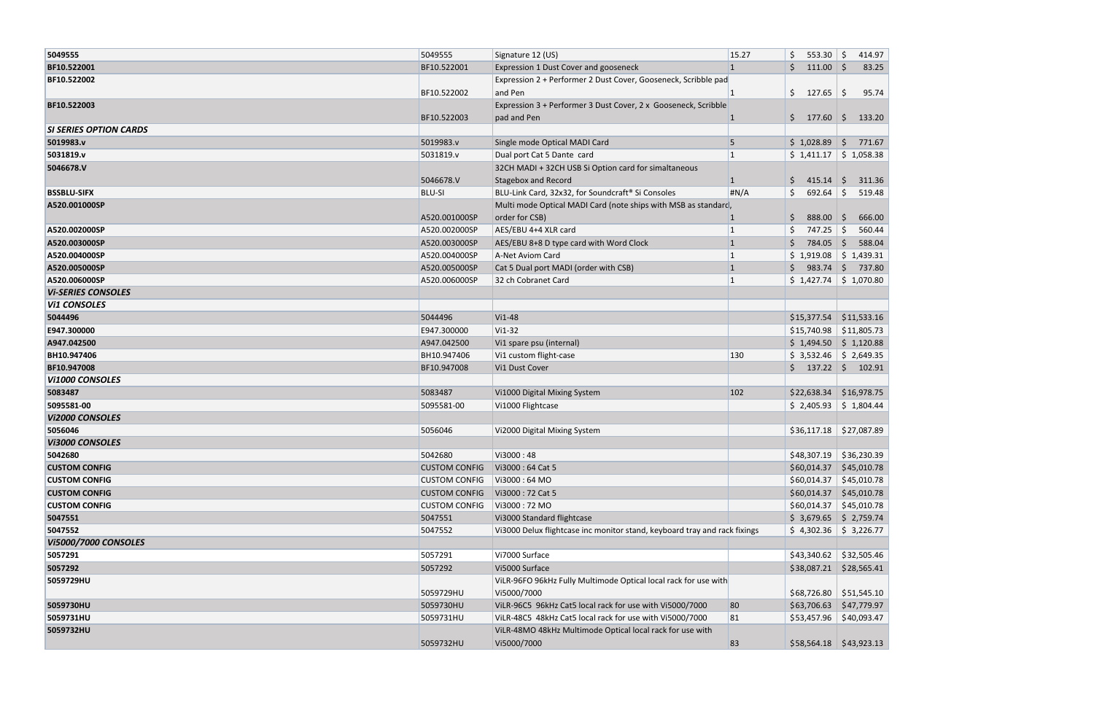| 5049555                       | 5049555              | Signature 12 (US)                                                         | 15.27        | \$<br>553.30            | S.<br>414.97            |
|-------------------------------|----------------------|---------------------------------------------------------------------------|--------------|-------------------------|-------------------------|
| BF10.522001                   | BF10.522001          | Expression 1 Dust Cover and gooseneck                                     | $\mathbf{1}$ | \$<br>$111.00$ \$       | 83.25                   |
| BF10.522002                   |                      | Expression 2 + Performer 2 Dust Cover, Gooseneck, Scribble pad            |              |                         |                         |
|                               | BF10.522002          | and Pen                                                                   |              | \$<br>127.65            | \$<br>95.74             |
| BF10.522003                   |                      | Expression 3 + Performer 3 Dust Cover, 2 x Gooseneck, Scribble            |              |                         |                         |
|                               | BF10.522003          | pad and Pen                                                               | 1            | \$177.60                | 133.20                  |
| <b>SI SERIES OPTION CARDS</b> |                      |                                                                           |              |                         |                         |
| 5019983.v                     | 5019983.v            | Single mode Optical MADI Card                                             | 5            | \$1,028.89              | 771.67<br>S.            |
| 5031819.v                     | 5031819.v            | Dual port Cat 5 Dante card                                                | 1            | \$1,411.17              | \$1,058.38              |
| 5046678.V                     |                      | 32CH MADI + 32CH USB Si Option card for simaltaneous                      |              |                         |                         |
|                               | 5046678.V            | <b>Stagebox and Record</b>                                                |              | \$<br>415.14            | 311.36<br>S.            |
| <b>BSSBLU-SIFX</b>            | <b>BLU-SI</b>        | BLU-Link Card, 32x32, for Soundcraft® Si Consoles                         | H N/A        | \$<br>692.64            | S.<br>519.48            |
| A520.001000SP                 |                      | Multi mode Optical MADI Card (note ships with MSB as standard,            |              |                         |                         |
|                               | A520.001000SP        | order for CSB)                                                            |              | 888.00<br>\$.           | 666.00<br>-S            |
| A520.002000SP                 | A520.002000SP        | AES/EBU 4+4 XLR card                                                      | $\mathbf{1}$ | \$<br>747.25            | 560.44<br>-Ś            |
| A520.003000SP                 | A520.003000SP        | AES/EBU 8+8 D type card with Word Clock                                   | $\mathbf{1}$ | 784.05                  | S.<br>588.04            |
| A520.004000SP                 | A520.004000SP        | A-Net Aviom Card                                                          |              | \$1,919.08              | \$1,439.31              |
| A520.005000SP                 | A520.005000SP        | Cat 5 Dual port MADI (order with CSB)                                     | $\mathbf{1}$ | \$983.74                | 737.80                  |
| A520.006000SP                 | A520.006000SP        | 32 ch Cobranet Card                                                       |              | \$1,427.74              | \$1,070.80              |
| <b>Vi-SERIES CONSOLES</b>     |                      |                                                                           |              |                         |                         |
| <b>Vi1 CONSOLES</b>           |                      |                                                                           |              |                         |                         |
| 5044496                       | 5044496              | Vi1-48                                                                    |              | \$15,377.54             | \$11,533.16             |
| E947.300000                   | E947.300000          | Vi1-32                                                                    |              | \$15,740.98             | \$11,805.73             |
| A947.042500                   | A947.042500          | Vi1 spare psu (internal)                                                  |              | $$1,494.50$ $$1,120.88$ |                         |
| BH10.947406                   | BH10.947406          | Vi1 custom flight-case                                                    | 130          | \$3,532.46              | \$2,649.35              |
| BF10.947008                   | BF10.947008          | Vi1 Dust Cover                                                            |              | \$<br>137.22            | $\frac{1}{2}$<br>102.91 |
| <b>Vi1000 CONSOLES</b>        |                      |                                                                           |              |                         |                         |
| 5083487                       | 5083487              | Vi1000 Digital Mixing System                                              | 102          | \$22,638.34             | \$16,978.75             |
| 5095581-00                    | 5095581-00           | Vi1000 Flightcase                                                         |              | \$2,405.93              | \$1,804.44              |
| <b>Vi2000 CONSOLES</b>        |                      |                                                                           |              |                         |                         |
| 5056046                       | 5056046              | Vi2000 Digital Mixing System                                              |              | \$36,117.18             | \$27,087.89             |
| Vi3000 CONSOLES               |                      |                                                                           |              |                         |                         |
| 5042680                       | 5042680              | Vi3000:48                                                                 |              | \$48,307.19             | \$36,230.39             |
| <b>CUSTOM CONFIG</b>          | <b>CUSTOM CONFIG</b> | Vi3000: 64 Cat 5                                                          |              | \$60,014.37             | \$45,010.78             |
| <b>CUSTOM CONFIG</b>          | <b>CUSTOM CONFIG</b> | Vi3000:64 MO                                                              |              | \$60,014.37             | \$45,010.78             |
| <b>CUSTOM CONFIG</b>          | <b>CUSTOM CONFIG</b> | Vi3000: 72 Cat 5                                                          |              | \$60,014.37             | \$45,010.78             |
| <b>CUSTOM CONFIG</b>          | <b>CUSTOM CONFIG</b> | Vi3000: 72 MO                                                             |              | \$60,014.37             | \$45,010.78             |
| 5047551                       | 5047551              | Vi3000 Standard flightcase                                                |              | \$3,679.65              | \$2,759.74              |
| 5047552                       | 5047552              | Vi3000 Delux flightcase inc monitor stand, keyboard tray and rack fixings |              | $$4,302.36$ $$3,226.77$ |                         |
| <b>Vi5000/7000 CONSOLES</b>   |                      |                                                                           |              |                         |                         |
| 5057291                       | 5057291              | Vi7000 Surface                                                            |              | \$43,340.62             | \$32,505.46             |
| 5057292                       | 5057292              | Vi5000 Surface                                                            |              | \$38,087.21             | \$28,565.41             |
| 5059729HU                     |                      | ViLR-96FO 96kHz Fully Multimode Optical local rack for use with           |              |                         |                         |
|                               | 5059729HU            | Vi5000/7000                                                               |              | \$68,726.80             | \$51,545.10             |
| 5059730HU                     | 5059730HU            | ViLR-96C5 96kHz Cat5 local rack for use with Vi5000/7000                  | 80           | \$63,706.63             | \$47,779.97             |
| 5059731HU                     | 5059731HU            | ViLR-48C5 48kHz Cat5 local rack for use with Vi5000/7000                  | 81           | \$53,457.96             | \$40,093.47             |
| 5059732HU                     |                      | ViLR-48MO 48kHz Multimode Optical local rack for use with                 |              |                         |                         |
|                               | 5059732HU            | Vi5000/7000                                                               | 83           | \$58,564.18             | \$43,923.13             |
|                               |                      |                                                                           |              |                         |                         |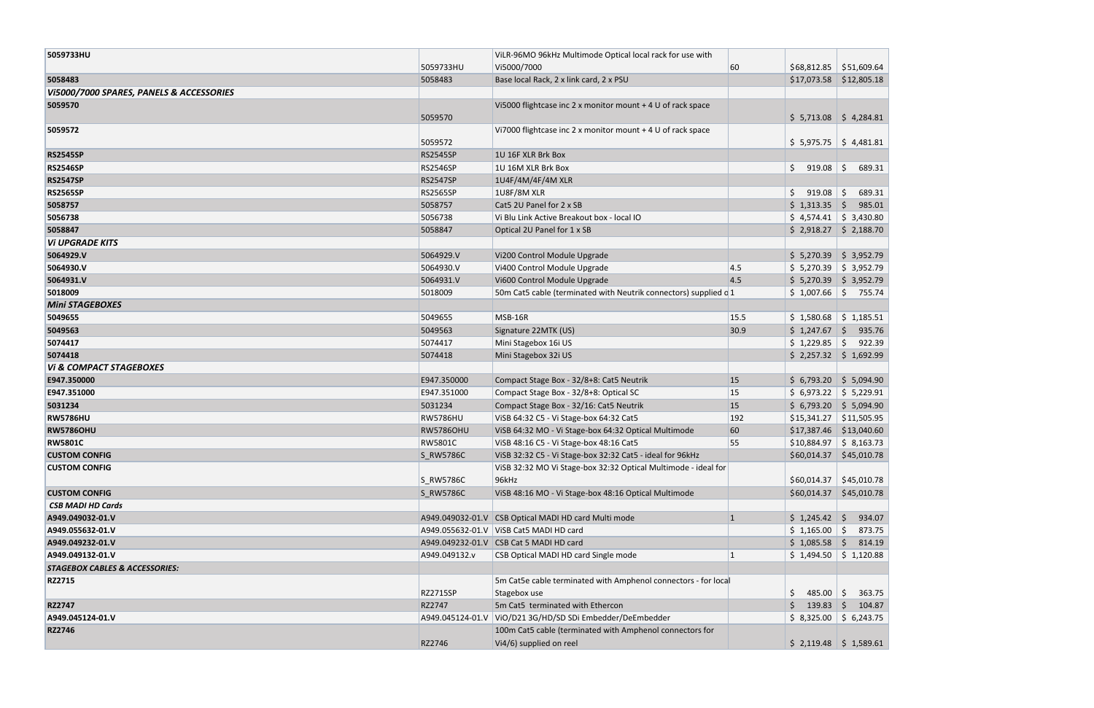| 5059733HU                                 |                  | ViLR-96MO 96kHz Multimode Optical local rack for use with        |      |                            |                      |
|-------------------------------------------|------------------|------------------------------------------------------------------|------|----------------------------|----------------------|
|                                           | 5059733HU        | Vi5000/7000                                                      | 60   | $$68,812.85$ $$51,609.64$  |                      |
| 5058483                                   | 5058483          | Base local Rack, 2 x link card, 2 x PSU                          |      | \$17,073.58                | \$12,805.18          |
| VI5000/7000 SPARES, PANELS & ACCESSORIES  |                  |                                                                  |      |                            |                      |
| 5059570                                   |                  | Vi5000 flightcase inc 2 x monitor mount + 4 U of rack space      |      |                            |                      |
|                                           | 5059570          |                                                                  |      | $$5,713.08$ $$4,284.81$    |                      |
| 5059572                                   | 5059572          | Vi7000 flightcase inc 2 x monitor mount $+4$ U of rack space     |      | $$5,975.75$ $$4,481.81$    |                      |
| <b>RS2545SP</b>                           | <b>RS2545SP</b>  | 1U 16F XLR Brk Box                                               |      |                            |                      |
| <b>RS2546SP</b>                           | <b>RS2546SP</b>  | 1U 16M XLR Brk Box                                               |      | Ś.<br>919.08               | \$<br>689.31         |
| <b>RS2547SP</b>                           | <b>RS2547SP</b>  | 1U4F/4M/4F/4M XLR                                                |      |                            |                      |
| <b>RS2565SP</b>                           | <b>RS2565SP</b>  | 1U8F/8M XLR                                                      |      | Ś.<br>$919.08$ \$          | 689.31               |
| 5058757                                   | 5058757          | Cat5 2U Panel for 2 x SB                                         |      | \$1,313.35                 | -Ś<br>985.01         |
| 5056738                                   | 5056738          | Vi Blu Link Active Breakout box - local IO                       |      | \$4,574.41                 | \$3,430.80           |
| 5058847                                   | 5058847          | Optical 2U Panel for 1 x SB                                      |      | \$2,918.27                 | \$2,188.70           |
| <b>VI UPGRADE KITS</b>                    |                  |                                                                  |      |                            |                      |
| 5064929.V                                 | 5064929.V        | Vi200 Control Module Upgrade                                     |      | $$5,270.39$ $$3,952.79$    |                      |
| 5064930.V                                 | 5064930.V        | Vi400 Control Module Upgrade                                     | 4.5  | $$5,270.39$ $$3,952.79$    |                      |
| 5064931.V                                 | 5064931.V        | Vi600 Control Module Upgrade                                     | 4.5  | $$5,270.39$ $$3,952.79$    |                      |
| 5018009                                   | 5018009          | 50m Cat5 cable (terminated with Neutrik connectors) supplied c 1 |      | \$1,007.66                 | \$<br>755.74         |
| <b>Mini STAGEBOXES</b>                    |                  |                                                                  |      |                            |                      |
| 5049655                                   | 5049655          | MSB-16R                                                          | 15.5 | \$1,580.68                 | \$1,185.51           |
| 5049563                                   | 5049563          | Signature 22MTK (US)                                             | 30.9 | \$1,247.67                 | $\vert$ \$<br>935.76 |
| 5074417                                   | 5074417          | Mini Stagebox 16i US                                             |      | \$1,229.85                 | 922.39               |
| 5074418                                   | 5074418          | Mini Stagebox 32i US                                             |      | $$2,257.32$ $$1,692.99$    |                      |
| <b>VI &amp; COMPACT STAGEBOXES</b>        |                  |                                                                  |      |                            |                      |
| E947.350000                               | E947.350000      | Compact Stage Box - 32/8+8: Cat5 Neutrik                         | 15   | $$6,793.20 \mid $5,094.90$ |                      |
| E947.351000                               | E947.351000      | Compact Stage Box - 32/8+8: Optical SC                           | 15   | \$6,973.22                 | \$5,229.91           |
| 5031234                                   | 5031234          | Compact Stage Box - 32/16: Cat5 Neutrik                          | 15   | $$6,793.20$ $$5,094.90$    |                      |
| <b>RW5786HU</b>                           | <b>RW5786HU</b>  | VISB 64:32 C5 - VI Stage-box 64:32 Cat5                          | 192  | \$15,341.27                | \$11,505.95          |
| <b>RW5786OHU</b>                          | <b>RW5786OHU</b> | VISB 64:32 MO - Vi Stage-box 64:32 Optical Multimode             | 60   | \$17,387.46                | \$13,040.60          |
| <b>RW5801C</b>                            | <b>RW5801C</b>   | VISB 48:16 C5 - Vi Stage-box 48:16 Cat5                          | 55   | $$10,884.97$ $$8,163.73$   |                      |
| <b>CUSTOM CONFIG</b>                      | S_RW5786C        | VISB 32:32 C5 - Vi Stage-box 32:32 Cat5 - ideal for 96kHz        |      | \$60,014.37                | \$45,010.78          |
| <b>CUSTOM CONFIG</b>                      |                  | VISB 32:32 MO VI Stage-box 32:32 Optical Multimode - ideal for   |      |                            |                      |
|                                           | S_RW5786C        | 96kHz                                                            |      | \$60,014.37                | \$45,010.78          |
| <b>CUSTOM CONFIG</b>                      | S_RW5786C        | VISB 48:16 MO - Vi Stage-box 48:16 Optical Multimode             |      | \$60,014.37                | \$45,010.78          |
| <b>CSB MADI HD Cards</b>                  |                  |                                                                  |      |                            |                      |
| A949.049032-01.V                          |                  | A949.049032-01.V CSB Optical MADI HD card Multi mode             | 1    | $$1,245.42$ \$             | 934.07               |
| A949.055632-01.V                          |                  | A949.055632-01.V   VISB Cat5 MADI HD card                        |      | $$1,165.00$ \$             | 873.75               |
| A949.049232-01.V                          |                  | A949.049232-01.V CSB Cat 5 MADI HD card                          |      | \$1,085.58                 | 814.19<br>S.         |
| A949.049132-01.V                          | A949.049132.v    | CSB Optical MADI HD card Single mode                             |      | \$1,494.50                 | \$1,120.88           |
| <b>STAGEBOX CABLES &amp; ACCESSORIES:</b> |                  |                                                                  |      |                            |                      |
| RZ2715                                    |                  | 5m Cat5e cable terminated with Amphenol connectors - for local   |      |                            |                      |
|                                           | <b>RZ2715SP</b>  | Stagebox use                                                     |      | \$<br>$485.00$ \$          | 363.75               |
| RZ2747                                    | RZ2747           | 5m Cat5 terminated with Ethercon                                 |      | $139.83$ \$                | 104.87               |
| A949.045124-01.V                          | A949.045124-01.V | ViO/D21 3G/HD/SD SDi Embedder/DeEmbedder                         |      | \$8,325.00                 | \$6,243.75           |
| RZ2746                                    |                  | 100m Cat5 cable (terminated with Amphenol connectors for         |      |                            |                      |
|                                           | RZ2746           | Vi4/6) supplied on reel                                          |      | $$2,119.48$ $$1,589.61$    |                      |
|                                           |                  |                                                                  |      |                            |                      |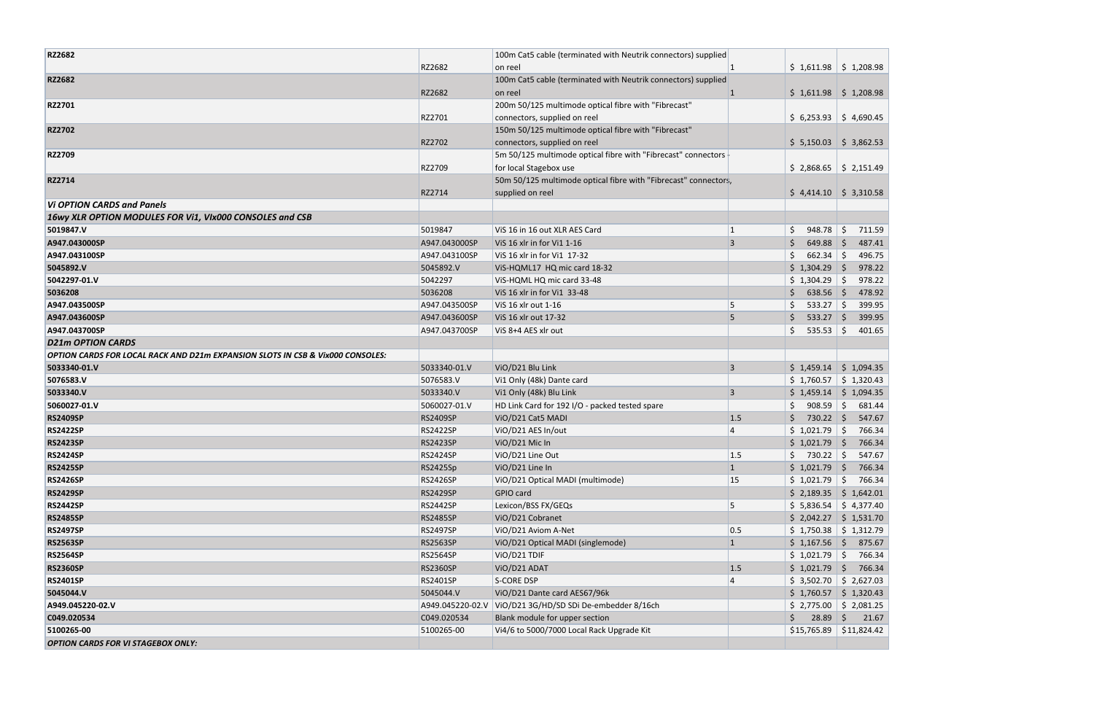| <b>RZ2682</b>                                                                  |                  | 100m Cat5 cable (terminated with Neutrik connectors) supplied   |              |                    |                            |
|--------------------------------------------------------------------------------|------------------|-----------------------------------------------------------------|--------------|--------------------|----------------------------|
|                                                                                | RZ2682           | on reel                                                         |              |                    | $$1,611.98$ $$1,208.98$    |
| RZ2682                                                                         |                  | 100m Cat5 cable (terminated with Neutrik connectors) supplied   |              |                    |                            |
|                                                                                | RZ2682           | on reel                                                         | 1            |                    | $$1,611.98$ $$1,208.98$    |
| RZ2701                                                                         |                  | 200m 50/125 multimode optical fibre with "Fibrecast"            |              |                    |                            |
|                                                                                | RZ2701           | connectors, supplied on reel                                    |              |                    | $$6,253.93$ $$4,690.45$    |
| <b>RZ2702</b>                                                                  |                  | 150m 50/125 multimode optical fibre with "Fibrecast"            |              |                    |                            |
|                                                                                | RZ2702           | connectors, supplied on reel                                    |              |                    | $$5,150.03$ $$3,862.53$    |
| <b>RZ2709</b>                                                                  |                  | 5m 50/125 multimode optical fibre with "Fibrecast" connectors   |              |                    |                            |
|                                                                                | RZ2709           | for local Stagebox use                                          |              | \$2,868.65         | \$2,151.49                 |
| RZ2714                                                                         |                  | 50m 50/125 multimode optical fibre with "Fibrecast" connectors, |              |                    |                            |
|                                                                                | RZ2714           | supplied on reel                                                |              |                    | $$4,414.10 \mid $3,310.58$ |
| <b>Vi OPTION CARDS and Panels</b>                                              |                  |                                                                 |              |                    |                            |
| 16wy XLR OPTION MODULES FOR Vi1, VIx000 CONSOLES and CSB                       |                  |                                                                 |              |                    |                            |
| 5019847.V                                                                      | 5019847          | ViS 16 in 16 out XLR AES Card                                   | 1            | \$.<br>948.78      | Ŝ.<br>711.59               |
| A947.043000SP                                                                  | A947.043000SP    | ViS 16 xlr in for Vi1 1-16                                      | 3            | 649.88<br>Ś.       | 487.41<br>-S               |
| A947.043100SP                                                                  | A947.043100SP    | ViS 16 xlr in for Vi1 17-32                                     |              | $662.34$ \$        | 496.75                     |
| 5045892.V                                                                      | 5045892.V        | ViS-HQML17 HQ mic card 18-32                                    |              | \$1,304.29         | 978.22                     |
| 5042297-01.V                                                                   | 5042297          | ViS-HQML HQ mic card 33-48                                      |              | \$1,304.29         | 978.22<br>$\vert$ \$       |
| 5036208                                                                        | 5036208          | ViS 16 xlr in for Vi1 33-48                                     |              | $638.56$ \$<br>\$. | 478.92                     |
| A947.043500SP                                                                  | A947.043500SP    | ViS 16 xlr out 1-16                                             | 5            | Ś.<br>$533.27$ \$  | 399.95                     |
| A947.043600SP                                                                  | A947.043600SP    | ViS 16 xlr out 17-32                                            | 5            | Ŝ.<br>$533.27$ \$  | 399.95                     |
| A947.043700SP                                                                  | A947.043700SP    | ViS 8+4 AES xlr out                                             |              | \$<br>$535.53$ \$  | 401.65                     |
| <b>D21m OPTION CARDS</b>                                                       |                  |                                                                 |              |                    |                            |
| OPTION CARDS FOR LOCAL RACK AND D21m EXPANSION SLOTS IN CSB & Vix000 CONSOLES: |                  |                                                                 |              |                    |                            |
| 5033340-01.V                                                                   | 5033340-01.V     | ViO/D21 Blu Link                                                | 3            | \$1,459.14         | \$1,094.35                 |
| 5076583.V                                                                      | 5076583.V        | Vi1 Only (48k) Dante card                                       |              | \$1,760.57         | \$1,320.43                 |
| 5033340.V                                                                      | 5033340.V        | Vi1 Only (48k) Blu Link                                         | 3            |                    | $$1,459.14$ $$1,094.35$    |
| 5060027-01.V                                                                   | 5060027-01.V     | HD Link Card for 192 I/O - packed tested spare                  |              | $908.59$ \$        | 681.44                     |
| <b>RS2409SP</b>                                                                | <b>RS2409SP</b>  | ViO/D21 Cat5 MADI                                               | 1.5          | $730.22$ \$        | 547.67                     |
| <b>RS2422SP</b>                                                                | <b>RS2422SP</b>  | ViO/D21 AES In/out                                              |              | \$1,021.79         | 766.34                     |
| <b>RS2423SP</b>                                                                | <b>RS2423SP</b>  | ViO/D21 Mic In                                                  |              | \$1,021.79         | 766.34                     |
| <b>RS2424SP</b>                                                                | <b>RS2424SP</b>  | ViO/D21 Line Out                                                | 1.5          | $$730.22$ \$       | 547.67                     |
| <b>RS2425SP</b>                                                                | <b>RS2425Sp</b>  | ViO/D21 Line In                                                 | $\mathbf{1}$ | \$1,021.79         | 766.34                     |
| <b>RS2426SP</b>                                                                | <b>RS2426SP</b>  | ViO/D21 Optical MADI (multimode)                                | 15           | \$1,021.79         | Ŝ.<br>766.34               |
| <b>RS2429SP</b>                                                                | <b>RS2429SP</b>  | GPIO card                                                       |              |                    | $$2,189.35$ $$1,642.01$    |
| <b>RS2442SP</b>                                                                | RS2442SP         | Lexicon/BSS FX/GEQs                                             | 5            | \$5,836.54         | \$4,377.40                 |
| <b>RS2485SP</b>                                                                | <b>RS2485SP</b>  | ViO/D21 Cobranet                                                |              | \$2,042.27         | \$1,531.70                 |
| <b>RS2497SP</b>                                                                | <b>RS2497SP</b>  | ViO/D21 Aviom A-Net                                             | 0.5          |                    | $$1,750.38$ $$1,312.79$    |
| <b>RS2563SP</b>                                                                | <b>RS2563SP</b>  | ViO/D21 Optical MADI (singlemode)                               | $\mathbf{1}$ | \$1,167.56         | 875.67                     |
| <b>RS2564SP</b>                                                                | <b>RS2564SP</b>  | ViO/D21 TDIF                                                    |              | \$1,021.79         | 766.34                     |
| <b>RS2360SP</b>                                                                | <b>RS2360SP</b>  | ViO/D21 ADAT                                                    | 1.5          | \$1,021.79         | 766.34                     |
| <b>RS2401SP</b>                                                                | RS2401SP         | <b>S-CORE DSP</b>                                               |              | \$3,502.70         | \$2,627.03                 |
| 5045044.V                                                                      | 5045044.V        | ViO/D21 Dante card AES67/96k                                    |              | \$1,760.57         | \$1,320.43                 |
| A949.045220-02.V                                                               | A949.045220-02.V | ViO/D21 3G/HD/SD SDi De-embedder 8/16ch                         |              |                    | $$2,775.00$ $$2,081.25$    |
| C049.020534                                                                    | C049.020534      | Blank module for upper section                                  |              | Ś.<br>28.89        | Ŝ.<br>21.67                |
| 5100265-00                                                                     | 5100265-00       | Vi4/6 to 5000/7000 Local Rack Upgrade Kit                       |              | \$15,765.89        | \$11,824.42                |
| <b>OPTION CARDS FOR VI STAGEBOX ONLY:</b>                                      |                  |                                                                 |              |                    |                            |